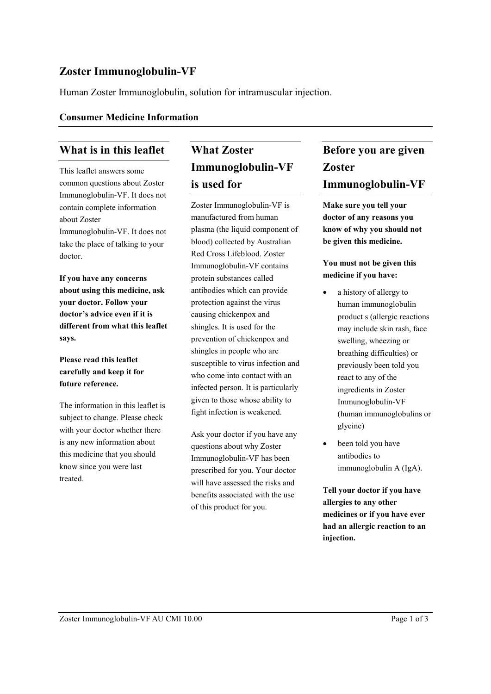## **Zoster Immunoglobulin-VF**

Human Zoster Immunoglobulin, solution for intramuscular injection.

#### **Consumer Medicine Information**

## **What is in this leaflet**

This leaflet answers some common questions about Zoster Immunoglobulin-VF. It does not contain complete information about Zoster Immunoglobulin-VF. It does not take the place of talking to your doctor.

**If you have any concerns about using this medicine, ask your doctor. Follow your doctor's advice even if it is different from what this leaflet says.**

#### **Please read this leaflet carefully and keep it for future reference.**

The information in this leaflet is subject to change. Please check with your doctor whether there is any new information about this medicine that you should know since you were last treated.

# **What Zoster Immunoglobulin-VF is used for**

Zoster Immunoglobulin-VF is manufactured from human plasma (the liquid component of blood) collected by Australian Red Cross Lifeblood. Zoster Immunoglobulin-VF contains protein substances called antibodies which can provide protection against the virus causing chickenpox and shingles. It is used for the prevention of chickenpox and shingles in people who are susceptible to virus infection and who come into contact with an infected person. It is particularly given to those whose ability to fight infection is weakened.

Ask your doctor if you have any questions about why Zoster Immunoglobulin-VF has been prescribed for you. Your doctor will have assessed the risks and benefits associated with the use of this product for you.

# **Before you are given Zoster Immunoglobulin-VF**

**Make sure you tell your doctor of any reasons you know of why you should not be given this medicine.**

#### **You must not be given this medicine if you have:**

- a history of allergy to human immunoglobulin product s (allergic reactions may include skin rash, face swelling, wheezing or breathing difficulties) or previously been told you react to any of the ingredients in Zoster Immunoglobulin-VF (human immunoglobulins or glycine)
- been told you have antibodies to immunoglobulin A (IgA).

**Tell your doctor if you have allergies to any other medicines or if you have ever had an allergic reaction to an injection.**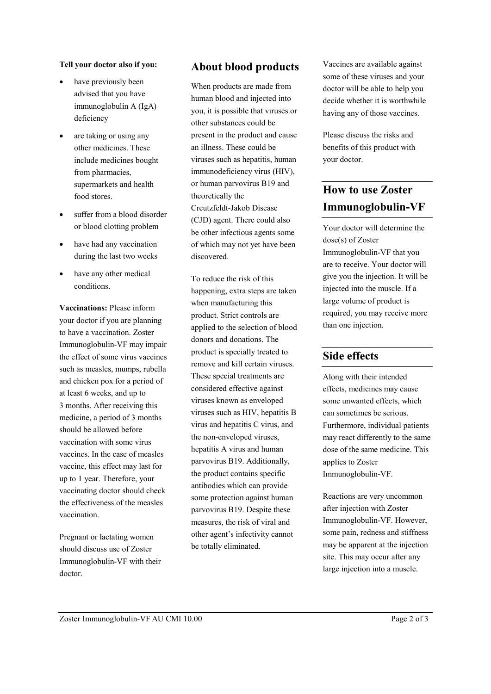#### **Tell your doctor also if you:**

- have previously been advised that you have immunoglobulin A (IgA) deficiency
- are taking or using any other medicines. These include medicines bought from pharmacies, supermarkets and health food stores.
- suffer from a blood disorder or blood clotting problem
- have had any vaccination during the last two weeks
- have any other medical conditions.

**Vaccinations:** Please inform your doctor if you are planning to have a vaccination. Zoster Immunoglobulin-VF may impair the effect of some virus vaccines such as measles, mumps, rubella and chicken pox for a period of at least 6 weeks, and up to 3 months. After receiving this medicine, a period of 3 months should be allowed before vaccination with some virus vaccines. In the case of measles vaccine, this effect may last for up to 1 year. Therefore, your vaccinating doctor should check the effectiveness of the measles vaccination.

Pregnant or lactating women should discuss use of Zoster Immunoglobulin-VF with their doctor.

## **About blood products**

When products are made from human blood and injected into you, it is possible that viruses or other substances could be present in the product and cause an illness. These could be viruses such as hepatitis, human immunodeficiency virus (HIV), or human parvovirus B19 and theoretically the Creutzfeldt-Jakob Disease (CJD) agent. There could also be other infectious agents some of which may not yet have been discovered.

To reduce the risk of this happening, extra steps are taken when manufacturing this product. Strict controls are applied to the selection of blood donors and donations. The product is specially treated to remove and kill certain viruses. These special treatments are considered effective against viruses known as enveloped viruses such as HIV, hepatitis B virus and hepatitis C virus, and the non-enveloped viruses, hepatitis A virus and human parvovirus B19. Additionally, the product contains specific antibodies which can provide some protection against human parvovirus B19. Despite these measures, the risk of viral and other agent's infectivity cannot be totally eliminated.

Vaccines are available against some of these viruses and your doctor will be able to help you decide whether it is worthwhile having any of those vaccines.

Please discuss the risks and benefits of this product with your doctor.

## **How to use Zoster Immunoglobulin-VF**

Your doctor will determine the dose(s) of Zoster Immunoglobulin-VF that you are to receive. Your doctor will give you the injection. It will be injected into the muscle. If a large volume of product is required, you may receive more than one injection.

#### **Side effects**

Along with their intended effects, medicines may cause some unwanted effects, which can sometimes be serious. Furthermore, individual patients may react differently to the same dose of the same medicine. This applies to Zoster Immunoglobulin-VF.

Reactions are very uncommon after injection with Zoster Immunoglobulin-VF. However, some pain, redness and stiffness may be apparent at the injection site. This may occur after any large injection into a muscle.